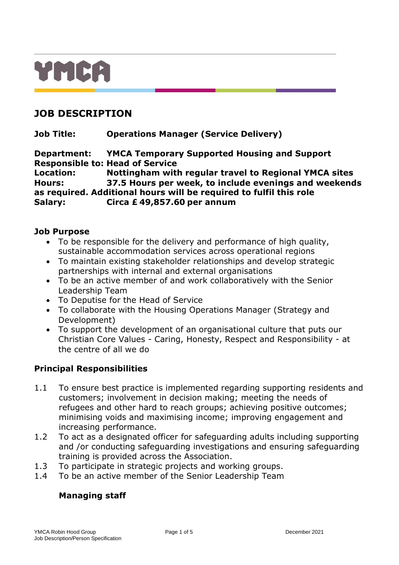# YMCA

# **JOB DESCRIPTION**

**Job Title: Operations Manager (Service Delivery)**

**Department: YMCA Temporary Supported Housing and Support Responsible to: Head of Service Location: Nottingham with regular travel to Regional YMCA sites Hours: 37.5 Hours per week, to include evenings and weekends as required. Additional hours will be required to fulfil this role Salary: Circa £ 49,857.60 per annum**

#### **Job Purpose**

- To be responsible for the delivery and performance of high quality, sustainable accommodation services across operational regions
- To maintain existing stakeholder relationships and develop strategic partnerships with internal and external organisations
- To be an active member of and work collaboratively with the Senior Leadership Team
- To Deputise for the Head of Service
- To collaborate with the Housing Operations Manager (Strategy and Development)
- To support the development of an organisational culture that puts our Christian Core Values - Caring, Honesty, Respect and Responsibility - at the centre of all we do

## **Principal Responsibilities**

- 1.1 To ensure best practice is implemented regarding supporting residents and customers; involvement in decision making; meeting the needs of refugees and other hard to reach groups; achieving positive outcomes; minimising voids and maximising income; improving engagement and increasing performance.
- 1.2 To act as a designated officer for safeguarding adults including supporting and /or conducting safeguarding investigations and ensuring safeguarding training is provided across the Association.
- 1.3 To participate in strategic projects and working groups.
- 1.4 To be an active member of the Senior Leadership Team

#### **Managing staff**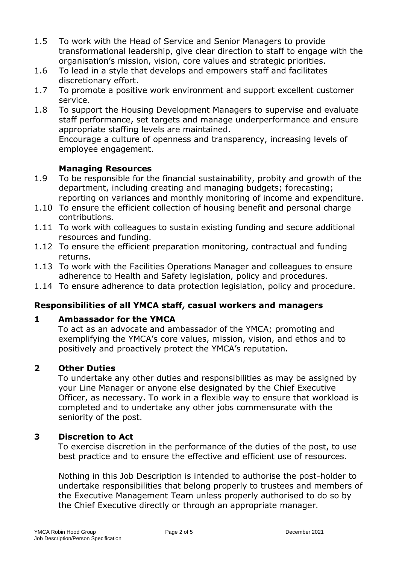- 1.5 To work with the Head of Service and Senior Managers to provide transformational leadership, give clear direction to staff to engage with the organisation's mission, vision, core values and strategic priorities.
- 1.6 To lead in a style that develops and empowers staff and facilitates discretionary effort.
- 1.7 To promote a positive work environment and support excellent customer service.
- 1.8 To support the Housing Development Managers to supervise and evaluate staff performance, set targets and manage underperformance and ensure appropriate staffing levels are maintained.

Encourage a culture of openness and transparency, increasing levels of employee engagement.

#### **Managing Resources**

- 1.9 To be responsible for the financial sustainability, probity and growth of the department, including creating and managing budgets; forecasting; reporting on variances and monthly monitoring of income and expenditure.
- 1.10 To ensure the efficient collection of housing benefit and personal charge contributions.
- 1.11 To work with colleagues to sustain existing funding and secure additional resources and funding.
- 1.12 To ensure the efficient preparation monitoring, contractual and funding returns.
- 1.13 To work with the Facilities Operations Manager and colleagues to ensure adherence to Health and Safety legislation, policy and procedures.
- 1.14 To ensure adherence to data protection legislation, policy and procedure.

## **Responsibilities of all YMCA staff, casual workers and managers**

#### **1 Ambassador for the YMCA**

To act as an advocate and ambassador of the YMCA; promoting and exemplifying the YMCA's core values, mission, vision, and ethos and to positively and proactively protect the YMCA's reputation.

#### **2 Other Duties**

To undertake any other duties and responsibilities as may be assigned by your Line Manager or anyone else designated by the Chief Executive Officer, as necessary. To work in a flexible way to ensure that workload is completed and to undertake any other jobs commensurate with the seniority of the post.

#### **3 Discretion to Act**

To exercise discretion in the performance of the duties of the post, to use best practice and to ensure the effective and efficient use of resources.

Nothing in this Job Description is intended to authorise the post-holder to undertake responsibilities that belong properly to trustees and members of the Executive Management Team unless properly authorised to do so by the Chief Executive directly or through an appropriate manager.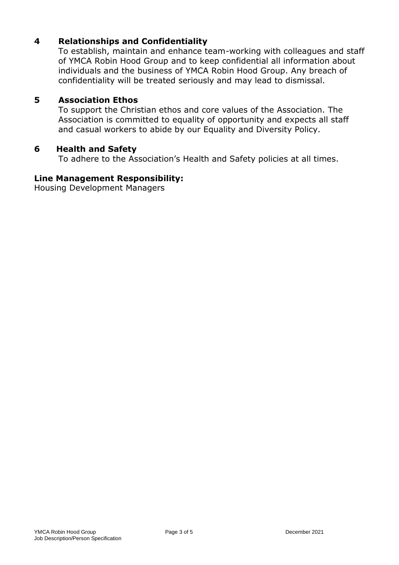## **4 Relationships and Confidentiality**

To establish, maintain and enhance team-working with colleagues and staff of YMCA Robin Hood Group and to keep confidential all information about individuals and the business of YMCA Robin Hood Group. Any breach of confidentiality will be treated seriously and may lead to dismissal.

#### **5 Association Ethos**

To support the Christian ethos and core values of the Association. The Association is committed to equality of opportunity and expects all staff and casual workers to abide by our Equality and Diversity Policy.

#### **6 Health and Safety**

To adhere to the Association's Health and Safety policies at all times.

#### **Line Management Responsibility:**

Housing Development Managers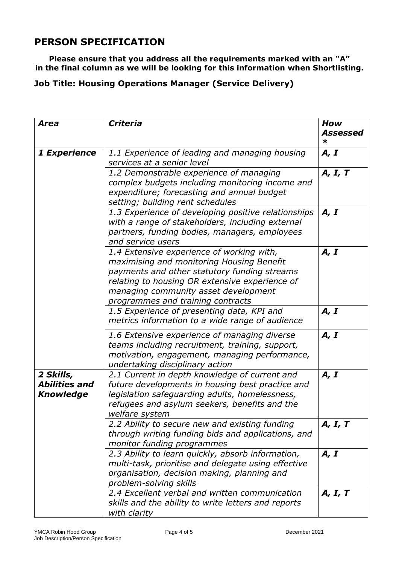# **PERSON SPECIFICATION**

**Please ensure that you address all the requirements marked with an "A" in the final column as we will be looking for this information when Shortlisting.** 

# **Job Title: Housing Operations Manager (Service Delivery)**

| <b>Area</b>                                           | <b>Criteria</b>                                                                                                                                                                                                                                                       | How           |
|-------------------------------------------------------|-----------------------------------------------------------------------------------------------------------------------------------------------------------------------------------------------------------------------------------------------------------------------|---------------|
|                                                       |                                                                                                                                                                                                                                                                       | Assessed<br>∗ |
| 1 Experience                                          | 1.1 Experience of leading and managing housing<br>services at a senior level                                                                                                                                                                                          | A, I          |
|                                                       | 1.2 Demonstrable experience of managing<br>complex budgets including monitoring income and<br>expenditure; forecasting and annual budget<br>setting; building rent schedules                                                                                          | A, I, T       |
|                                                       | 1.3 Experience of developing positive relationships<br>with a range of stakeholders, including external<br>partners, funding bodies, managers, employees<br>and service users                                                                                         | A, I          |
|                                                       | 1.4 Extensive experience of working with,<br>maximising and monitoring Housing Benefit<br>payments and other statutory funding streams<br>relating to housing OR extensive experience of<br>managing community asset development<br>programmes and training contracts | A, I          |
|                                                       | 1.5 Experience of presenting data, KPI and<br>metrics information to a wide range of audience                                                                                                                                                                         | A, I          |
|                                                       | 1.6 Extensive experience of managing diverse<br>teams including recruitment, training, support,<br>motivation, engagement, managing performance,<br>undertaking disciplinary action                                                                                   | A, I          |
| 2 Skills,<br><b>Abilities and</b><br><b>Knowledge</b> | 2.1 Current in depth knowledge of current and<br>future developments in housing best practice and<br>legislation safeguarding adults, homelessness,<br>refugees and asylum seekers, benefits and the<br>welfare system                                                | A, I          |
|                                                       | 2.2 Ability to secure new and existing funding<br>through writing funding bids and applications, and<br>monitor funding programmes                                                                                                                                    | A, I, T       |
|                                                       | 2.3 Ability to learn quickly, absorb information,<br>multi-task, prioritise and delegate using effective<br>organisation, decision making, planning and<br>problem-solving skills                                                                                     | A, I          |
|                                                       | 2.4 Excellent verbal and written communication<br>skills and the ability to write letters and reports<br>with clarity                                                                                                                                                 | A, I, T       |